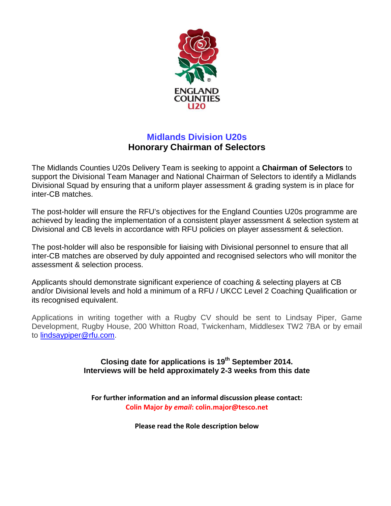

# **Midlands Division U20s Honorary Chairman of Selectors**

The Midlands Counties U20s Delivery Team is seeking to appoint a **Chairman of Selectors** to support the Divisional Team Manager and National Chairman of Selectors to identify a Midlands Divisional Squad by ensuring that a uniform player assessment & grading system is in place for inter-CB matches.

The post-holder will ensure the RFU's objectives for the England Counties U20s programme are achieved by leading the implementation of a consistent player assessment & selection system at Divisional and CB levels in accordance with RFU policies on player assessment & selection.

The post-holder will also be responsible for liaising with Divisional personnel to ensure that all inter-CB matches are observed by duly appointed and recognised selectors who will monitor the assessment & selection process.

Applicants should demonstrate significant experience of coaching & selecting players at CB and/or Divisional levels and hold a minimum of a RFU / UKCC Level 2 Coaching Qualification or its recognised equivalent.

Applications in writing together with a Rugby CV should be sent to Lindsay Piper, Game Development, Rugby House, 200 Whitton Road, Twickenham, Middlesex TW2 7BA or by email to [lindsaypiper@rfu.com.](mailto:lindsaypiper@rfu.com)

> **Closing date for applications is 19th September 2014. Interviews will be held approximately 2-3 weeks from this date**

**For further information and an informal discussion please contact: Colin Major** *by email***: colin.major@tesco.net**

**Please read the Role description below**